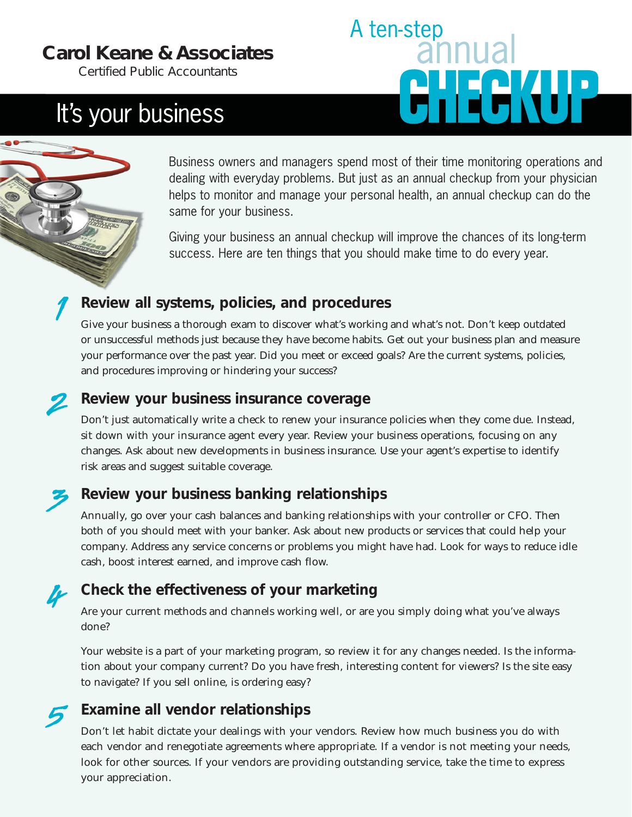## **Carol Keane & Associates**

*Certified Public Accountants*

# It's your business



Business owners and managers spend most of their time monitoring operations and dealing with everyday problems. But just as an annual checkup from your physician helps to monitor and manage your personal health, an annual checkup can do the same for your business.

Giving your business an annual checkup will improve the chances of its long-term success. Here are ten things that you should make time to do every year.

## **Review all systems, policies, and procedures**

Give your business a thorough exam to discover what's working and what's not. Don't keep outdated or unsuccessful methods just because they have become habits. Get out your business plan and measure your performance over the past year. Did you meet or exceed goals? Are the current systems, policies, and procedures improving or hindering your success?

### **Review your business insurance coverage**

Don't just automatically write a check to renew your insurance policies when they come due. Instead, sit down with your insurance agent every year. Review your business operations, focusing on any changes. Ask about new developments in business insurance. Use your agent's expertise to identify risk areas and suggest suitable coverage.

## **Review your business banking relationships**

Annually, go over your cash balances and banking relationships with your controller or CFO. Then both of you should meet with your banker. Ask about new products or services that could help your company. Address any service concerns or problems you might have had. Look for ways to reduce idle cash, boost interest earned, and improve cash flow.

## **Check the effectiveness of your marketing**

Are your current methods and channels working well, or are you simply doing what you've always done?

Your website is a part of your marketing program, so review it for any changes needed. Is the information about your company current? Do you have fresh, interesting content for viewers? Is the site easy to navigate? If you sell online, is ordering easy?

## **Examine all vendor relationships**

Don't let habit dictate your dealings with your vendors. Review how much business you do with each vendor and renegotiate agreements where appropriate. If a vendor is not meeting your needs, look for other sources. If your vendors are providing outstanding service, take the time to express your appreciation.